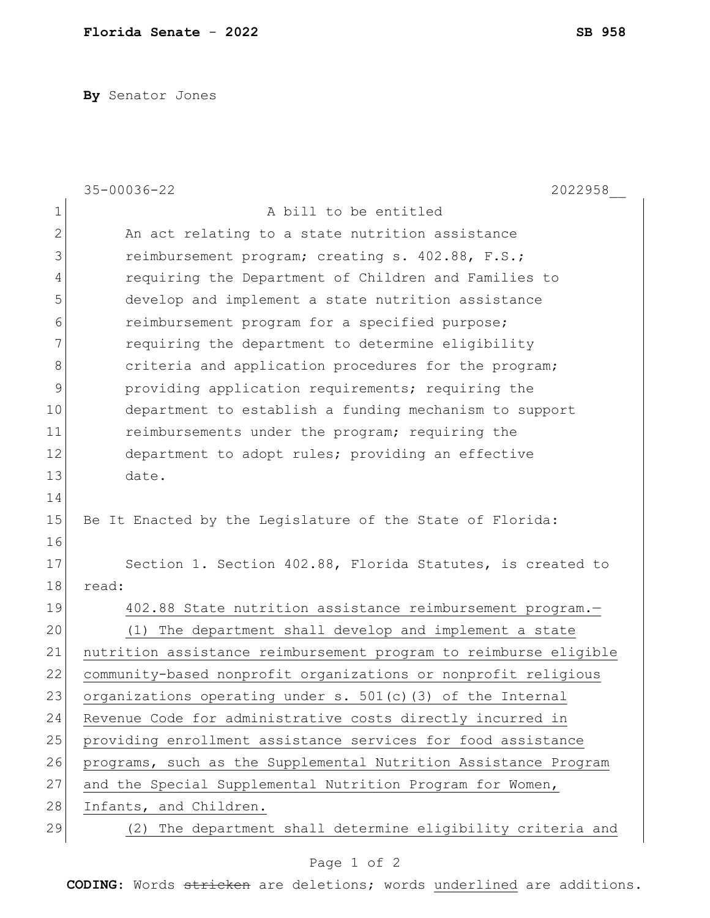**By** Senator Jones

|    | $35 - 00036 - 22$<br>2022958                                     |
|----|------------------------------------------------------------------|
| 1  | A bill to be entitled                                            |
| 2  | An act relating to a state nutrition assistance                  |
| 3  | reimbursement program; creating s. 402.88, F.S.;                 |
| 4  | requiring the Department of Children and Families to             |
| 5  | develop and implement a state nutrition assistance               |
| 6  | reimbursement program for a specified purpose;                   |
| 7  | requiring the department to determine eligibility                |
| 8  | criteria and application procedures for the program;             |
| 9  | providing application requirements; requiring the                |
| 10 | department to establish a funding mechanism to support           |
| 11 | reimbursements under the program; requiring the                  |
| 12 | department to adopt rules; providing an effective                |
| 13 | date.                                                            |
| 14 |                                                                  |
| 15 | Be It Enacted by the Legislature of the State of Florida:        |
| 16 |                                                                  |
| 17 | Section 1. Section 402.88, Florida Statutes, is created to       |
| 18 | read:                                                            |
| 19 | 402.88 State nutrition assistance reimbursement program.-        |
| 20 | (1)<br>The department shall develop and implement a state        |
| 21 | nutrition assistance reimbursement program to reimburse eligible |
| 22 | community-based nonprofit organizations or nonprofit religious   |
| 23 | organizations operating under s. $501(c)$ (3) of the Internal    |
| 24 | Revenue Code for administrative costs directly incurred in       |
| 25 | providing enrollment assistance services for food assistance     |
| 26 | programs, such as the Supplemental Nutrition Assistance Program  |
| 27 | and the Special Supplemental Nutrition Program for Women,        |
| 28 | Infants, and Children.                                           |
| 29 | The department shall determine eligibility criteria and<br>(2)   |

## Page 1 of 2

**CODING**: Words stricken are deletions; words underlined are additions.